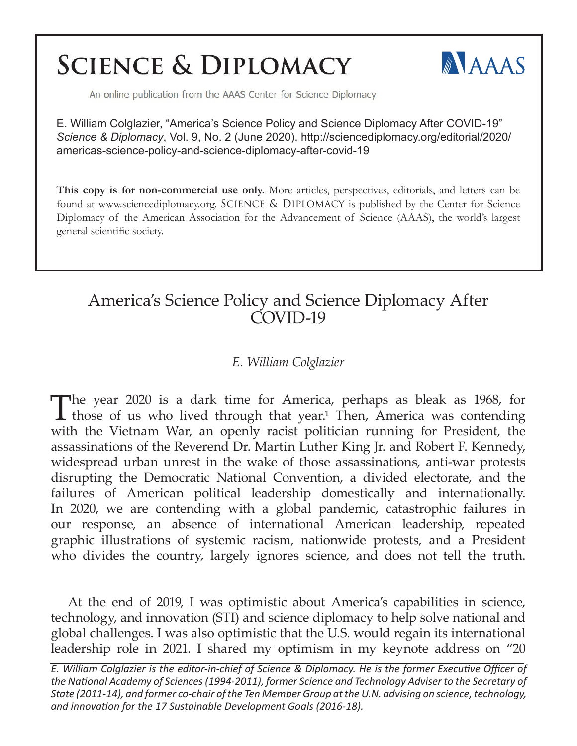# **SCIENCE & DIPLOMACY**



An online publication from the AAAS Center for Science Diplomacy

E. William Colglazier, "America's Science Policy and Science Diplomacy After COVID-19" *Science & Diplomacy*, Vol. 9, No. 2 (June 2020). http://sciencediplomacy.org/editorial/2020/ americas-science-policy-and-science-diplomacy-after-covid-19

**This copy is for non-commercial use only.** More articles, perspectives, editorials, and letters can be found at www.sciencediplomacy.org. SCIENCE & DIPLOMACY is published by the Center for Science Diplomacy of the American Association for the Advancement of Science (AAAS), the world's largest general scientific society.

## America's Science Policy and Science Diplomacy After COVID-19

## *E. William Colglazier*

The year 2020 is a dark time for America, perhaps as bleak as 1968, for those of us who lived through that year.<sup>1</sup> Then, America was contending with the Vietnam War, an openly racist politician running for President, the assassinations of the Reverend Dr. Martin Luther King Jr. and Robert F. Kennedy, widespread urban unrest in the wake of those assassinations, anti-war protests disrupting the Democratic National Convention, a divided electorate, and the failures of American political leadership domestically and internationally. In 2020, we are contending with a global pandemic, catastrophic failures in our response, an absence of international American leadership, repeated graphic illustrations of systemic racism, nationwide protests, and a President who divides the country, largely ignores science, and does not tell the truth.

At the end of 2019, I was optimistic about America's capabilities in science, technology, and innovation (STI) and science diplomacy to help solve national and global challenges. I was also optimistic that the U.S. would regain its international leadership role in 2021. I shared my optimism in my keynote address on "20

*E. William Colglazier is the editor-in-chief of Science & Diplomacy. He is the former Executive Officer of the National Academy of Sciences (1994-2011), former Science and Technology Adviser to the Secretary of State (2011-14), and former co-chair of the Ten Member Group at the U.N. advising on science, technology, and innovation for the 17 Sustainable Development Goals (2016-18).*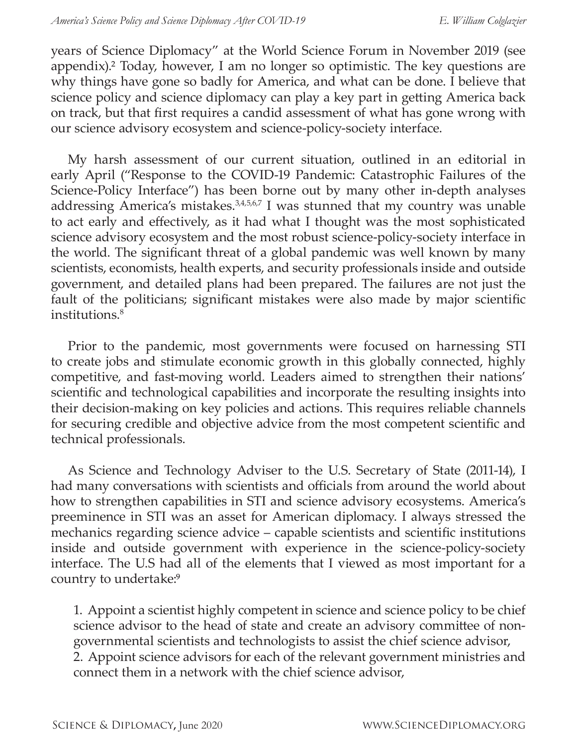years of Science Diplomacy" at the World Science Forum in November 2019 (see appendix).² Today, however, I am no longer so optimistic. The key questions are why things have gone so badly for America, and what can be done. I believe that science policy and science diplomacy can play a key part in getting America back on track, but that first requires a candid assessment of what has gone wrong with our science advisory ecosystem and science-policy-society interface.

My harsh assessment of our current situation, outlined in an editorial in early April ("Response to the COVID-19 Pandemic: Catastrophic Failures of the Science-Policy Interface") has been borne out by many other in-depth analyses addressing America's mistakes.<sup>3,4,5,6,7</sup> I was stunned that my country was unable to act early and effectively, as it had what I thought was the most sophisticated science advisory ecosystem and the most robust science-policy-society interface in the world. The significant threat of a global pandemic was well known by many scientists, economists, health experts, and security professionals inside and outside government, and detailed plans had been prepared. The failures are not just the fault of the politicians; significant mistakes were also made by major scientific institutions.8

Prior to the pandemic, most governments were focused on harnessing STI to create jobs and stimulate economic growth in this globally connected, highly competitive, and fast-moving world. Leaders aimed to strengthen their nations' scientific and technological capabilities and incorporate the resulting insights into their decision-making on key policies and actions. This requires reliable channels for securing credible and objective advice from the most competent scientific and technical professionals.

As Science and Technology Adviser to the U.S. Secretary of State (2011-14), I had many conversations with scientists and officials from around the world about how to strengthen capabilities in STI and science advisory ecosystems. America's preeminence in STI was an asset for American diplomacy. I always stressed the mechanics regarding science advice – capable scientists and scientific institutions inside and outside government with experience in the science-policy-society interface. The U.S had all of the elements that I viewed as most important for a country to undertake:<sup>9</sup>

1. Appoint a scientist highly competent in science and science policy to be chief science advisor to the head of state and create an advisory committee of nongovernmental scientists and technologists to assist the chief science advisor, 2. Appoint science advisors for each of the relevant government ministries and connect them in a network with the chief science advisor,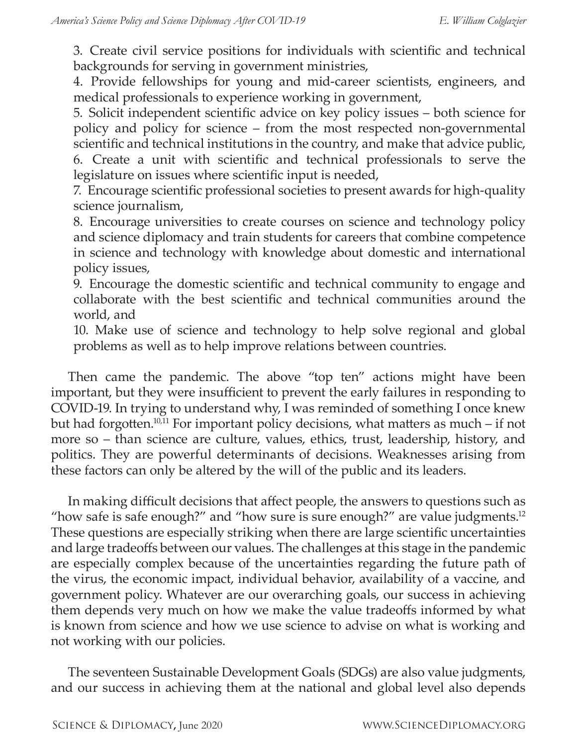3. Create civil service positions for individuals with scientific and technical backgrounds for serving in government ministries,

4. Provide fellowships for young and mid-career scientists, engineers, and medical professionals to experience working in government,

5. Solicit independent scientific advice on key policy issues – both science for policy and policy for science – from the most respected non-governmental scientific and technical institutions in the country, and make that advice public, 6. Create a unit with scientific and technical professionals to serve the legislature on issues where scientific input is needed,

7. Encourage scientific professional societies to present awards for high-quality science journalism,

8. Encourage universities to create courses on science and technology policy and science diplomacy and train students for careers that combine competence in science and technology with knowledge about domestic and international policy issues,

9. Encourage the domestic scientific and technical community to engage and collaborate with the best scientific and technical communities around the world, and

10. Make use of science and technology to help solve regional and global problems as well as to help improve relations between countries.

Then came the pandemic. The above "top ten" actions might have been important, but they were insufficient to prevent the early failures in responding to COVID-19. In trying to understand why, I was reminded of something I once knew but had forgotten.<sup>10,11</sup> For important policy decisions, what matters as much – if not more so – than science are culture, values, ethics, trust, leadership, history, and politics. They are powerful determinants of decisions. Weaknesses arising from these factors can only be altered by the will of the public and its leaders.

In making difficult decisions that affect people, the answers to questions such as "how safe is safe enough?" and "how sure is sure enough?" are value judgments.12 These questions are especially striking when there are large scientific uncertainties and large tradeoffs between our values. The challenges at this stage in the pandemic are especially complex because of the uncertainties regarding the future path of the virus, the economic impact, individual behavior, availability of a vaccine, and government policy. Whatever are our overarching goals, our success in achieving them depends very much on how we make the value tradeoffs informed by what is known from science and how we use science to advise on what is working and not working with our policies.

The seventeen Sustainable Development Goals (SDGs) are also value judgments, and our success in achieving them at the national and global level also depends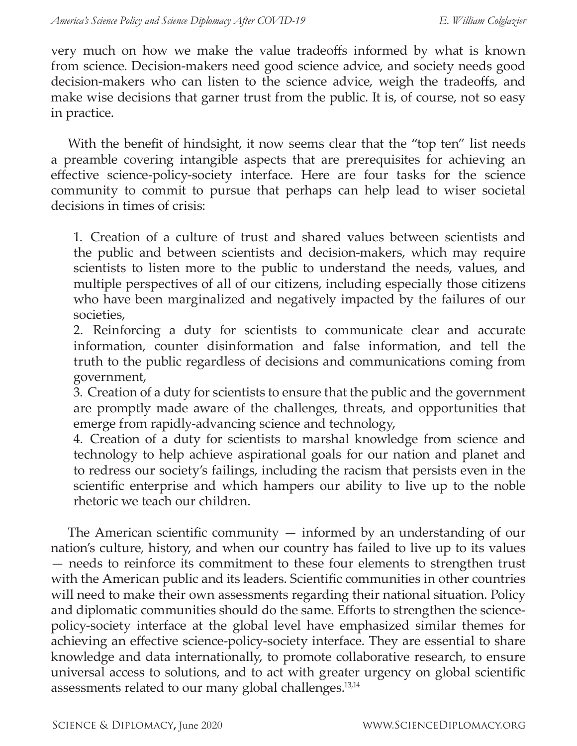very much on how we make the value tradeoffs informed by what is known from science. Decision-makers need good science advice, and society needs good decision-makers who can listen to the science advice, weigh the tradeoffs, and make wise decisions that garner trust from the public. It is, of course, not so easy in practice.

With the benefit of hindsight, it now seems clear that the "top ten" list needs a preamble covering intangible aspects that are prerequisites for achieving an effective science-policy-society interface. Here are four tasks for the science community to commit to pursue that perhaps can help lead to wiser societal decisions in times of crisis:

1. Creation of a culture of trust and shared values between scientists and the public and between scientists and decision-makers, which may require scientists to listen more to the public to understand the needs, values, and multiple perspectives of all of our citizens, including especially those citizens who have been marginalized and negatively impacted by the failures of our societies,

2. Reinforcing a duty for scientists to communicate clear and accurate information, counter disinformation and false information, and tell the truth to the public regardless of decisions and communications coming from government,

3. Creation of a duty for scientists to ensure that the public and the government are promptly made aware of the challenges, threats, and opportunities that emerge from rapidly-advancing science and technology,

4. Creation of a duty for scientists to marshal knowledge from science and technology to help achieve aspirational goals for our nation and planet and to redress our society's failings, including the racism that persists even in the scientific enterprise and which hampers our ability to live up to the noble rhetoric we teach our children.

The American scientific community  $-$  informed by an understanding of our nation's culture, history, and when our country has failed to live up to its values — needs to reinforce its commitment to these four elements to strengthen trust with the American public and its leaders. Scientific communities in other countries will need to make their own assessments regarding their national situation. Policy and diplomatic communities should do the same. Efforts to strengthen the sciencepolicy-society interface at the global level have emphasized similar themes for achieving an effective science-policy-society interface. They are essential to share knowledge and data internationally, to promote collaborative research, to ensure universal access to solutions, and to act with greater urgency on global scientific assessments related to our many global challenges.13,14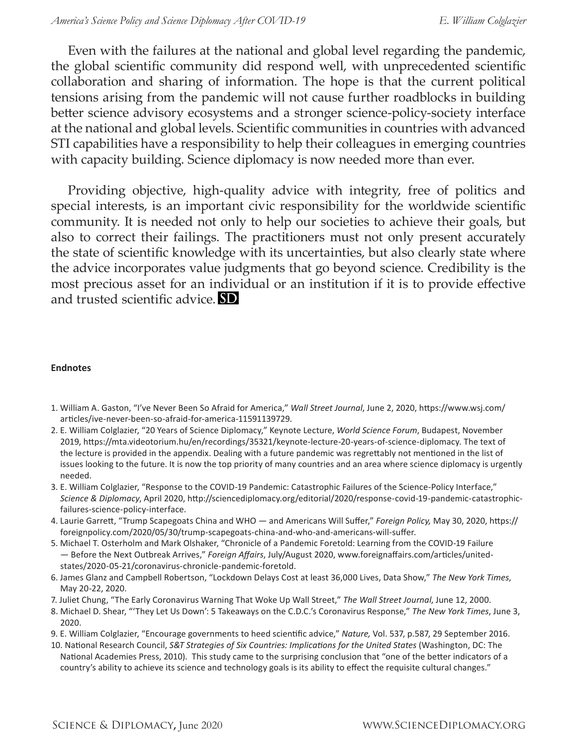Even with the failures at the national and global level regarding the pandemic, the global scientific community did respond well, with unprecedented scientific collaboration and sharing of information. The hope is that the current political tensions arising from the pandemic will not cause further roadblocks in building better science advisory ecosystems and a stronger science-policy-society interface at the national and global levels. Scientific communities in countries with advanced STI capabilities have a responsibility to help their colleagues in emerging countries with capacity building. Science diplomacy is now needed more than ever.

Providing objective, high-quality advice with integrity, free of politics and special interests, is an important civic responsibility for the worldwide scientific community. It is needed not only to help our societies to achieve their goals, but also to correct their failings. The practitioners must not only present accurately the state of scientific knowledge with its uncertainties, but also clearly state where the advice incorporates value judgments that go beyond science. Credibility is the most precious asset for an individual or an institution if it is to provide effective and trusted scientific advice. **SD** 

#### **Endnotes**

- 1. William A. Gaston, "I've Never Been So Afraid for America," *Wall Street Journal*, June 2, 2020, https://www.wsj.com/ articles/ive-never-been-so-afraid-for-america-11591139729.
- 2. E. William Colglazier, "20 Years of Science Diplomacy," Keynote Lecture, *World Science Forum*, Budapest, November 2019, https://mta.videotorium.hu/en/recordings/35321/keynote-lecture-20-years-of-science-diplomacy. The text of the lecture is provided in the appendix. Dealing with a future pandemic was regrettably not mentioned in the list of issues looking to the future. It is now the top priority of many countries and an area where science diplomacy is urgently needed.
- 3. E. William Colglazier, "Response to the COVID-19 Pandemic: Catastrophic Failures of the Science-Policy Interface," *Science & Diplomacy*, April 2020, http://sciencediplomacy.org/editorial/2020/response-covid-19-pandemic-catastrophicfailures-science-policy-interface.
- 4. Laurie Garrett, "Trump Scapegoats China and WHO and Americans Will Suffer," *Foreign Policy,* May 30, 2020, https:// foreignpolicy.com/2020/05/30/trump-scapegoats-china-and-who-and-americans-will-suffer.
- 5. Michael T. Osterholm and Mark Olshaker, "Chronicle of a Pandemic Foretold: Learning from the COVID-19 Failure — Before the Next Outbreak Arrives," *Foreign Affairs*, July/August 2020, www.foreignaffairs.com/articles/unitedstates/2020-05-21/coronavirus-chronicle-pandemic-foretold.
- 6. James Glanz and Campbell Robertson, "Lockdown Delays Cost at least 36,000 Lives, Data Show," *The New York Times*, May 20-22, 2020.
- 7. Juliet Chung, "The Early Coronavirus Warning That Woke Up Wall Street," *The Wall Street Journal*, June 12, 2000.
- 8. Michael D. Shear, "'They Let Us Down': 5 Takeaways on the C.D.C.'s Coronavirus Response," *The New York Times*, June 3, 2020.
- 9. E. William Colglazier, "Encourage governments to heed scientific advice," *Nature,* Vol. 537, p.587, 29 September 2016.
- 10. National Research Council, *S&T Strategies of Six Countries: Implications for the United States* (Washington, DC: The National Academies Press, 2010). This study came to the surprising conclusion that "one of the better indicators of a country's ability to achieve its science and technology goals is its ability to effect the requisite cultural changes."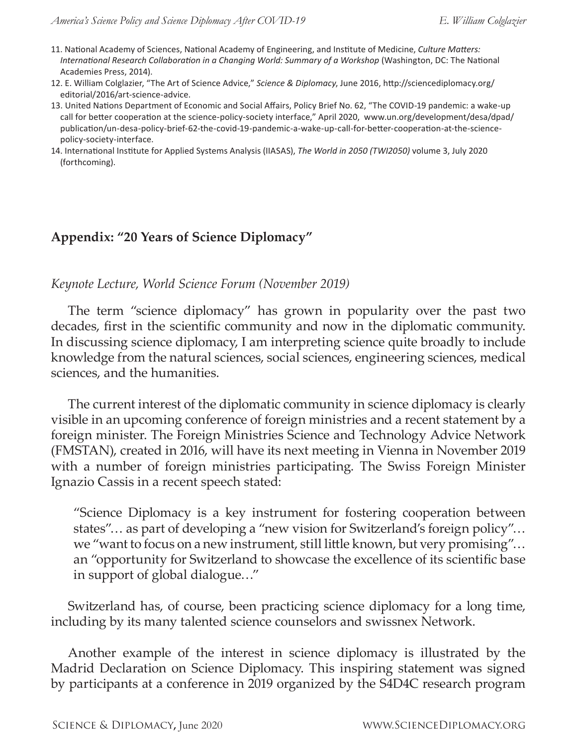- 11. National Academy of Sciences, National Academy of Engineering, and Institute of Medicine, *Culture Matters: International Research Collaboration in a Changing World: Summary of a Workshop* (Washington, DC: The National Academies Press, 2014).
- 12. E. William Colglazier, "The Art of Science Advice," *Science & Diplomacy*, June 2016, http://sciencediplomacy.org/ editorial/2016/art-science-advice.
- 13. United Nations Department of Economic and Social Affairs, Policy Brief No. 62, "The COVID-19 pandemic: a wake-up call for better cooperation at the science-policy-society interface," April 2020, www.un.org/development/desa/dpad/ publication/un-desa-policy-brief-62-the-covid-19-pandemic-a-wake-up-call-for-better-cooperation-at-the-sciencepolicy-society-interface.
- 14. International Institute for Applied Systems Analysis (IIASAS), *The World in 2050 (TWI2050)* volume 3, July 2020 (forthcoming).

### **Appendix: "20 Years of Science Diplomacy"**

#### *Keynote Lecture, World Science Forum (November 2019)*

The term "science diplomacy" has grown in popularity over the past two decades, first in the scientific community and now in the diplomatic community. In discussing science diplomacy, I am interpreting science quite broadly to include knowledge from the natural sciences, social sciences, engineering sciences, medical sciences, and the humanities.

The current interest of the diplomatic community in science diplomacy is clearly visible in an upcoming conference of foreign ministries and a recent statement by a foreign minister. The Foreign Ministries Science and Technology Advice Network (FMSTAN), created in 2016, will have its next meeting in Vienna in November 2019 with a number of foreign ministries participating. The Swiss Foreign Minister Ignazio Cassis in a recent speech stated:

"Science Diplomacy is a key instrument for fostering cooperation between states"… as part of developing a "new vision for Switzerland's foreign policy"… we "want to focus on a new instrument, still little known, but very promising"… an "opportunity for Switzerland to showcase the excellence of its scientific base in support of global dialogue…"

Switzerland has, of course, been practicing science diplomacy for a long time, including by its many talented science counselors and swissnex Network.

Another example of the interest in science diplomacy is illustrated by the Madrid Declaration on Science Diplomacy. This inspiring statement was signed by participants at a conference in 2019 organized by the S4D4C research program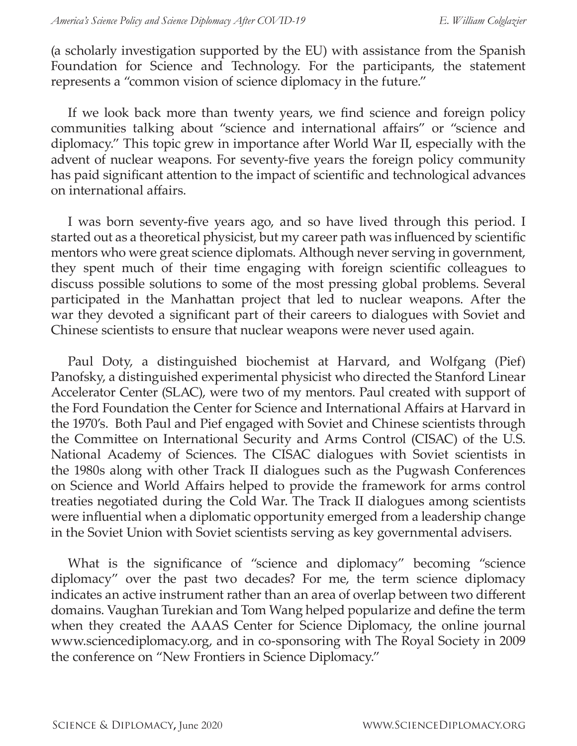(a scholarly investigation supported by the EU) with assistance from the Spanish Foundation for Science and Technology. For the participants, the statement represents a "common vision of science diplomacy in the future."

If we look back more than twenty years, we find science and foreign policy communities talking about "science and international affairs" or "science and diplomacy." This topic grew in importance after World War II, especially with the advent of nuclear weapons. For seventy-five years the foreign policy community has paid significant attention to the impact of scientific and technological advances on international affairs.

I was born seventy-five years ago, and so have lived through this period. I started out as a theoretical physicist, but my career path was influenced by scientific mentors who were great science diplomats. Although never serving in government, they spent much of their time engaging with foreign scientific colleagues to discuss possible solutions to some of the most pressing global problems. Several participated in the Manhattan project that led to nuclear weapons. After the war they devoted a significant part of their careers to dialogues with Soviet and Chinese scientists to ensure that nuclear weapons were never used again.

Paul Doty, a distinguished biochemist at Harvard, and Wolfgang (Pief) Panofsky, a distinguished experimental physicist who directed the Stanford Linear Accelerator Center (SLAC), were two of my mentors. Paul created with support of the Ford Foundation the Center for Science and International Affairs at Harvard in the 1970's. Both Paul and Pief engaged with Soviet and Chinese scientists through the Committee on International Security and Arms Control (CISAC) of the U.S. National Academy of Sciences. The CISAC dialogues with Soviet scientists in the 1980s along with other Track II dialogues such as the Pugwash Conferences on Science and World Affairs helped to provide the framework for arms control treaties negotiated during the Cold War. The Track II dialogues among scientists were influential when a diplomatic opportunity emerged from a leadership change in the Soviet Union with Soviet scientists serving as key governmental advisers.

What is the significance of "science and diplomacy" becoming "science diplomacy" over the past two decades? For me, the term science diplomacy indicates an active instrument rather than an area of overlap between two different domains. Vaughan Turekian and Tom Wang helped popularize and define the term when they created the AAAS Center for Science Diplomacy, the online journal www.sciencediplomacy.org, and in co-sponsoring with The Royal Society in 2009 the conference on "New Frontiers in Science Diplomacy."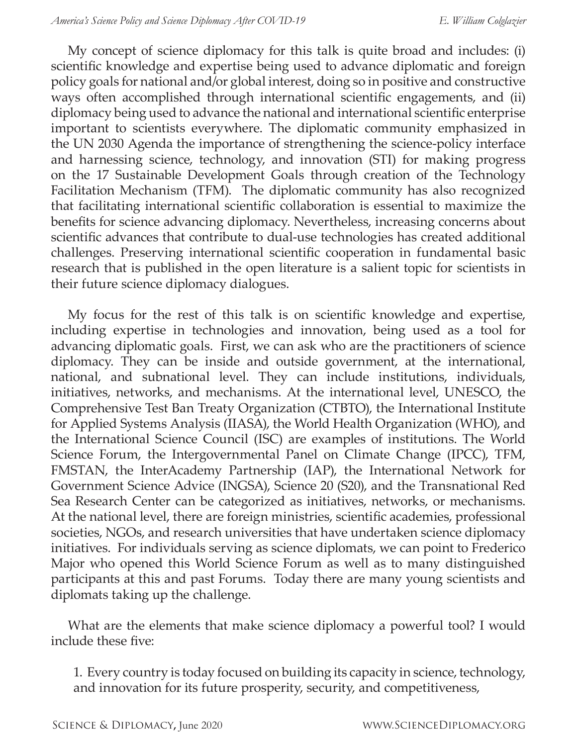My concept of science diplomacy for this talk is quite broad and includes: (i) scientific knowledge and expertise being used to advance diplomatic and foreign policy goals for national and/or global interest, doing so in positive and constructive ways often accomplished through international scientific engagements, and (ii) diplomacy being used to advance the national and international scientific enterprise important to scientists everywhere. The diplomatic community emphasized in the UN 2030 Agenda the importance of strengthening the science-policy interface and harnessing science, technology, and innovation (STI) for making progress on the 17 Sustainable Development Goals through creation of the Technology Facilitation Mechanism (TFM). The diplomatic community has also recognized that facilitating international scientific collaboration is essential to maximize the benefits for science advancing diplomacy. Nevertheless, increasing concerns about scientific advances that contribute to dual-use technologies has created additional challenges. Preserving international scientific cooperation in fundamental basic research that is published in the open literature is a salient topic for scientists in their future science diplomacy dialogues.

My focus for the rest of this talk is on scientific knowledge and expertise, including expertise in technologies and innovation, being used as a tool for advancing diplomatic goals. First, we can ask who are the practitioners of science diplomacy. They can be inside and outside government, at the international, national, and subnational level. They can include institutions, individuals, initiatives, networks, and mechanisms. At the international level, UNESCO, the Comprehensive Test Ban Treaty Organization (CTBTO), the International Institute for Applied Systems Analysis (IIASA), the World Health Organization (WHO), and the International Science Council (ISC) are examples of institutions. The World Science Forum, the Intergovernmental Panel on Climate Change (IPCC), TFM, FMSTAN, the InterAcademy Partnership (IAP), the International Network for Government Science Advice (INGSA), Science 20 (S20), and the Transnational Red Sea Research Center can be categorized as initiatives, networks, or mechanisms. At the national level, there are foreign ministries, scientific academies, professional societies, NGOs, and research universities that have undertaken science diplomacy initiatives. For individuals serving as science diplomats, we can point to Frederico Major who opened this World Science Forum as well as to many distinguished participants at this and past Forums. Today there are many young scientists and diplomats taking up the challenge.

What are the elements that make science diplomacy a powerful tool? I would include these five:

1. Every country is today focused on building its capacity in science, technology, and innovation for its future prosperity, security, and competitiveness,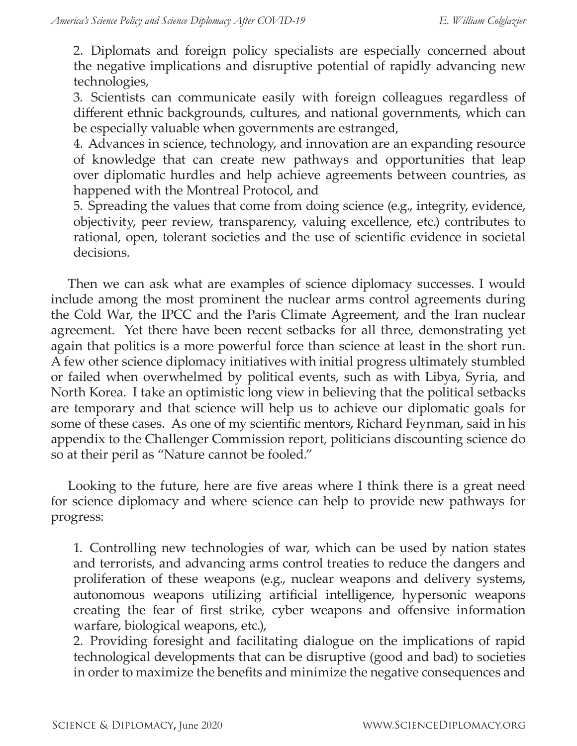2. Diplomats and foreign policy specialists are especially concerned about the negative implications and disruptive potential of rapidly advancing new technologies,

3. Scientists can communicate easily with foreign colleagues regardless of different ethnic backgrounds, cultures, and national governments, which can be especially valuable when governments are estranged,

4. Advances in science, technology, and innovation are an expanding resource of knowledge that can create new pathways and opportunities that leap over diplomatic hurdles and help achieve agreements between countries, as happened with the Montreal Protocol, and

5. Spreading the values that come from doing science (e.g., integrity, evidence, objectivity, peer review, transparency, valuing excellence, etc.) contributes to rational, open, tolerant societies and the use of scientific evidence in societal decisions.

Then we can ask what are examples of science diplomacy successes. I would include among the most prominent the nuclear arms control agreements during the Cold War, the IPCC and the Paris Climate Agreement, and the Iran nuclear agreement. Yet there have been recent setbacks for all three, demonstrating yet again that politics is a more powerful force than science at least in the short run. A few other science diplomacy initiatives with initial progress ultimately stumbled or failed when overwhelmed by political events, such as with Libya, Syria, and North Korea. I take an optimistic long view in believing that the political setbacks are temporary and that science will help us to achieve our diplomatic goals for some of these cases. As one of my scientific mentors, Richard Feynman, said in his appendix to the Challenger Commission report, politicians discounting science do so at their peril as "Nature cannot be fooled."

Looking to the future, here are five areas where I think there is a great need for science diplomacy and where science can help to provide new pathways for progress:

1. Controlling new technologies of war, which can be used by nation states and terrorists, and advancing arms control treaties to reduce the dangers and proliferation of these weapons (e.g., nuclear weapons and delivery systems, autonomous weapons utilizing artificial intelligence, hypersonic weapons creating the fear of first strike, cyber weapons and offensive information warfare, biological weapons, etc.),

2. Providing foresight and facilitating dialogue on the implications of rapid technological developments that can be disruptive (good and bad) to societies in order to maximize the benefits and minimize the negative consequences and